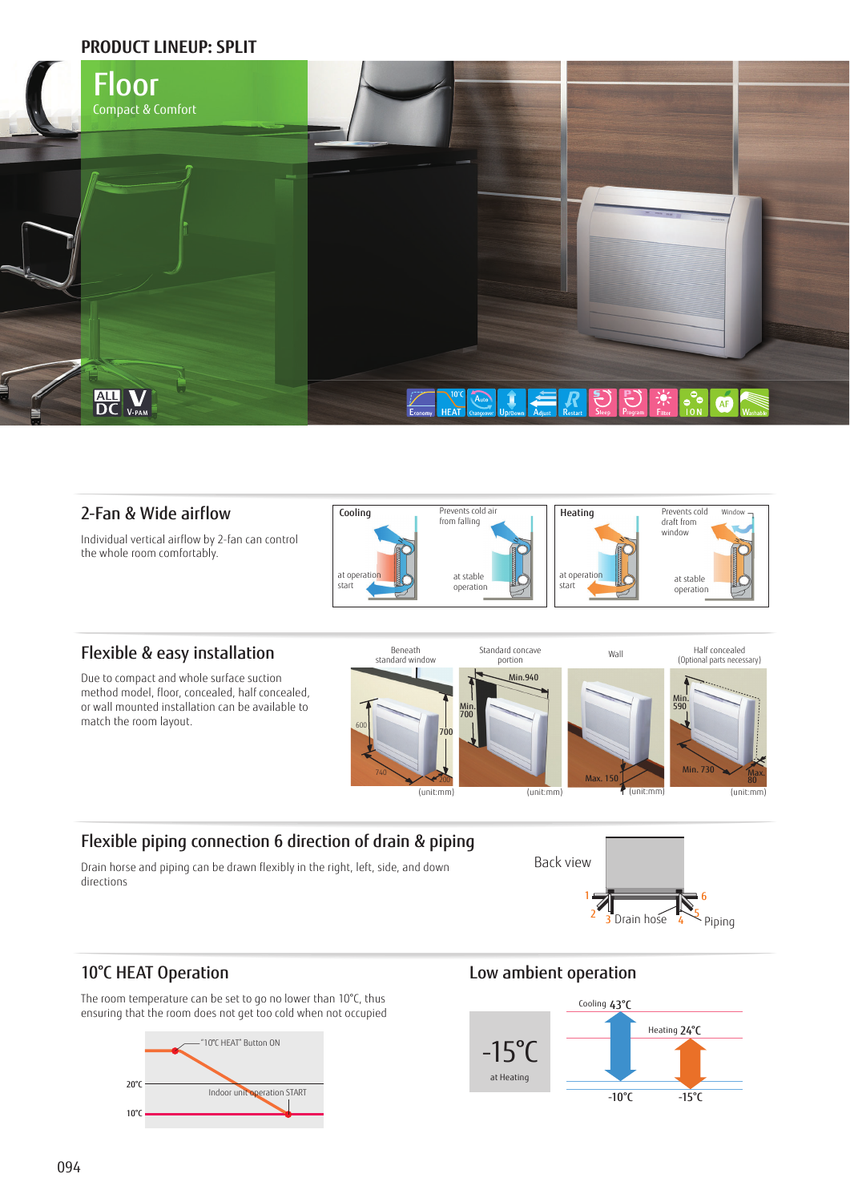### **PRODUCT LINEUP: SPLIT**



### 2-Fan & Wide airflow

Individual vertical airflow by 2-fan can control the whole room comfortably.



# Flexible & easy installation

Due to compact and whole surface suction method model, floor, concealed, half concealed, or wall mounted installation can be available to match the room layout.



## Flexible piping connection 6 direction of drain & piping

Drain horse and piping can be drawn flexibly in the right, left, side, and down directions



# 10°C HEAT Operation

The room temperature can be set to go no lower than 10°C, thus ensuring that the room does not get too cold when not occupied



## Low ambient operation